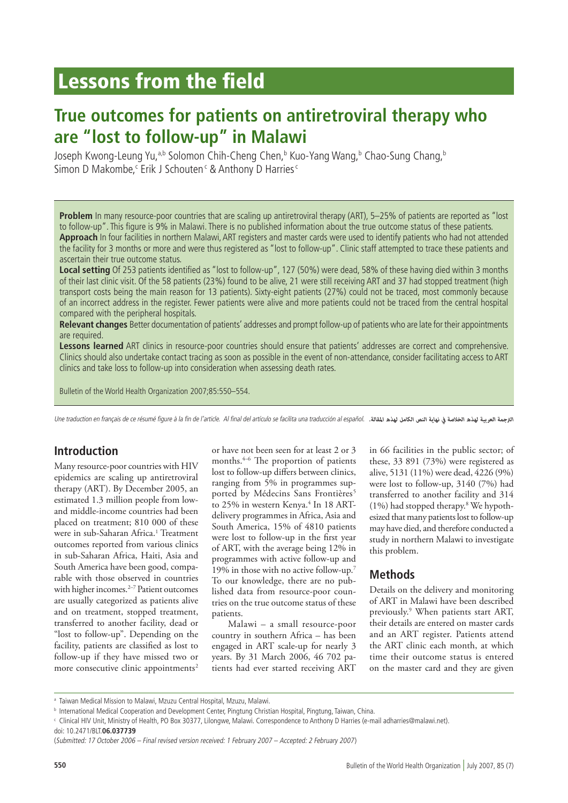# Lessons from the field

# **True outcomes for patients on antiretroviral therapy who are "lost to follow-up" in Malawi**

Joseph Kwong-Leung Yu,ª,b Solomon Chih-Cheng Chen,b Kuo-Yang Wang,b Chao-Sung Chang,b Simon D Makombe, CErik J Schouten C& Anthony D Harries C

**Problem** In many resource-poor countries that are scaling up antiretroviral therapy (ART), 5–25% of patients are reported as "lost to follow-up". This figure is 9% in Malawi. There is no published information about the true outcome status of these patients. **Approach** In four facilities in northern Malawi, ART registers and master cards were used to identify patients who had not attended

the facility for 3 months or more and were thus registered as "lost to follow-up". Clinic staff attempted to trace these patients and ascertain their true outcome status.

**Local setting** Of 253 patients identified as "lost to follow-up", 127 (50%) were dead, 58% of these having died within 3 months of their last clinic visit. Of the 58 patients (23%) found to be alive, 21 were still receiving ART and 37 had stopped treatment (high transport costs being the main reason for 13 patients). Sixty-eight patients (27%) could not be traced, most commonly because of an incorrect address in the register. Fewer patients were alive and more patients could not be traced from the central hospital compared with the peripheral hospitals.

**Relevant changes** Better documentation of patients' addresses and prompt follow-up of patients who are late for their appointments are required.

**Lessons learned** ART clinics in resource-poor countries should ensure that patients' addresses are correct and comprehensive. Clinics should also undertake contact tracing as soon as possible in the event of non-attendance, consider facilitating access to ART clinics and take loss to follow-up into consideration when assessing death rates.

Bulletin of the World Health Organization 2007;85:550–554.

Une traduction en français de ce résumé figure à la fin de l'article. Al final del artículo se facilita una traducción al español. *الرتجمة العربية لهذه الخالصة يف نهاية النص الكامل لهذه املقالة.*

# **Introduction**

Many resource-poor countries with HIV epidemics are scaling up antiretroviral therapy (ART). By December 2005, an estimated 1.3 million people from lowand middle-income countries had been placed on treatment; 810 000 of these were in sub-Saharan Africa.1 Treatment outcomes reported from various clinics in sub-Saharan Africa, Haiti, Asia and South America have been good, comparable with those observed in countries with higher incomes.<sup>2-7</sup> Patient outcomes are usually categorized as patients alive and on treatment, stopped treatment, transferred to another facility, dead or "lost to follow-up". Depending on the facility, patients are classified as lost to follow-up if they have missed two or more consecutive clinic appointments<sup>2</sup>

or have not been seen for at least 2 or 3 months.4–6 The proportion of patients lost to follow-up differs between clinics, ranging from 5% in programmes supported by Médecins Sans Frontières<sup>5</sup> to 25% in western Kenya.<sup>4</sup> In 18 ARTdelivery programmes in Africa, Asia and South America, 15% of 4810 patients were lost to follow-up in the first year of ART, with the average being 12% in programmes with active follow-up and 19% in those with no active follow-up.7 To our knowledge, there are no published data from resource-poor countries on the true outcome status of these patients.

Malawi – a small resource-poor country in southern Africa – has been engaged in ART scale-up for nearly 3 years. By 31 March 2006, 46 702 patients had ever started receiving ART

in 66 facilities in the public sector; of these, 33 891 (73%) were registered as alive, 5131 (11%) were dead, 4226 (9%) were lost to follow-up, 3140 (7%) had transferred to another facility and 314 (1%) had stopped therapy.8 We hypothesized that many patients lost to follow-up may have died, and therefore conducted a study in northern Malawi to investigate this problem.

## **Methods**

Details on the delivery and monitoring of ART in Malawi have been described previously.9 When patients start ART, their details are entered on master cards and an ART register. Patients attend the ART clinic each month, at which time their outcome status is entered on the master card and they are given

a Taiwan Medical Mission to Malawi, Mzuzu Central Hospital, Mzuzu, Malawi.

**b International Medical Cooperation and Development Center, Pingtung Christian Hospital, Pingtung, Taiwan, China.** 

<sup>c</sup> Clinical HIV Unit, Ministry of Health, PO Box 30377, Lilongwe, Malawi. Correspondence to Anthony D Harries (e-mail adharries@malawi.net). doi: 10.2471/BLT.**06.037739**

<sup>(</sup>Submitted: 17 October 2006 – Final revised version received: 1 February 2007 – Accepted: 2 February 2007)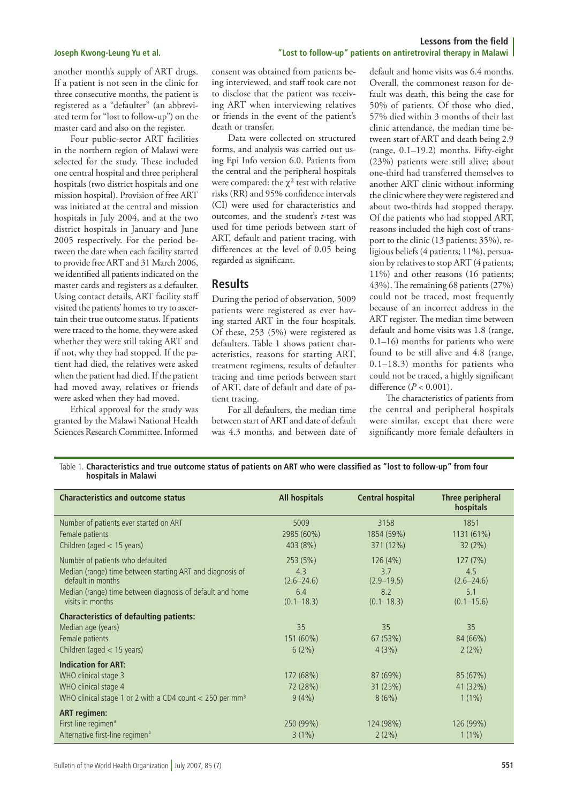another month's supply of ART drugs. If a patient is not seen in the clinic for three consecutive months, the patient is registered as a "defaulter" (an abbreviated term for "lost to follow-up") on the

master card and also on the register. Four public-sector ART facilities in the northern region of Malawi were selected for the study. These included one central hospital and three peripheral hospitals (two district hospitals and one mission hospital). Provision of free ART was initiated at the central and mission hospitals in July 2004, and at the two district hospitals in January and June 2005 respectively. For the period between the date when each facility started to provide free ART and 31 March 2006, we identified all patients indicated on the master cards and registers as a defaulter. Using contact details, ART facility staff visited the patients' homes to try to ascertain their true outcome status. If patients were traced to the home, they were asked whether they were still taking ART and if not, why they had stopped. If the patient had died, the relatives were asked when the patient had died. If the patient had moved away, relatives or friends were asked when they had moved.

Ethical approval for the study was granted by the Malawi National Health Sciences Research Committee. Informed

consent was obtained from patients being interviewed, and staff took care not to disclose that the patient was receiving ART when interviewing relatives or friends in the event of the patient's death or transfer.

Data were collected on structured forms, and analysis was carried out using Epi Info version 6.0. Patients from the central and the peripheral hospitals were compared: the  $\chi^2$  test with relative risks (RR) and 95% confidence intervals (CI) were used for characteristics and outcomes, and the student's *t*-test was used for time periods between start of ART, default and patient tracing, with differences at the level of 0.05 being regarded as significant.

### **Results**

During the period of observation, 5009 patients were registered as ever having started ART in the four hospitals. Of these, 253 (5%) were registered as defaulters. Table 1 shows patient characteristics, reasons for starting ART, treatment regimens, results of defaulter tracing and time periods between start of ART, date of default and date of patient tracing.

For all defaulters, the median time between start of ART and date of default was 4.3 months, and between date of

### **Lessons from the field Joseph Kwong-Leung Yu et al. "Lost to follow-up" patients on antiretroviral therapy in Malawi**

default and home visits was 6.4 months. Overall, the commonest reason for default was death, this being the case for 50% of patients. Of those who died, 57% died within 3 months of their last clinic attendance, the median time between start of ART and death being 2.9 (range, 0.1–19.2) months. Fifty-eight (23%) patients were still alive; about one-third had transferred themselves to another ART clinic without informing the clinic where they were registered and about two-thirds had stopped therapy. Of the patients who had stopped ART, reasons included the high cost of transport to the clinic (13 patients; 35%), religious beliefs (4 patients; 11%), persuasion by relatives to stop ART (4 patients; 11%) and other reasons (16 patients; 43%). The remaining 68 patients (27%) could not be traced, most frequently because of an incorrect address in the ART register. The median time between default and home visits was 1.8 (range, 0.1–16) months for patients who were found to be still alive and 4.8 (range, 0.1–18.3) months for patients who could not be traced, a highly significant difference (*P* < 0.001).

The characteristics of patients from the central and peripheral hospitals were similar, except that there were significantly more female defaulters in

| Table 1. Characteristics and true outcome status of patients on ART who were classified as "lost to follow-up" from four |  |  |  |
|--------------------------------------------------------------------------------------------------------------------------|--|--|--|
| hospitals in Malawi                                                                                                      |  |  |  |

| <b>Characteristics and outcome status</b>                              | <b>All hospitals</b> | <b>Central hospital</b> | Three peripheral |
|------------------------------------------------------------------------|----------------------|-------------------------|------------------|
|                                                                        |                      |                         | hospitals        |
| Number of patients ever started on ART                                 | 5009                 | 3158                    | 1851             |
| Female patients                                                        | 2985 (60%)           | 1854 (59%)              | 1131 (61%)       |
| Children (aged $<$ 15 years)                                           | 403 (8%)             | 371 (12%)               | 32(2%)           |
| Number of patients who defaulted                                       | 253 (5%)             | 126(4%)                 | 127(7%)          |
| Median (range) time between starting ART and diagnosis of              | 4.3                  | 3.7                     | 4.5              |
| default in months                                                      | $(2.6 - 24.6)$       | $(2.9 - 19.5)$          | $(2.6 - 24.6)$   |
| Median (range) time between diagnosis of default and home              | 6.4                  | 8.2                     | 5.1              |
| visits in months                                                       | $(0.1 - 18.3)$       | $(0.1 - 18.3)$          | $(0.1 - 15.6)$   |
| <b>Characteristics of defaulting patients:</b>                         |                      |                         |                  |
| Median age (years)                                                     | 35                   | 35                      | 35               |
| Female patients                                                        | 151 (60%)            | 67(53%)                 | 84 (66%)         |
| Children (aged < 15 years)                                             | 6(2%)                | 4(3%)                   | $2(2\%)$         |
| <b>Indication for ART:</b>                                             |                      |                         |                  |
| WHO clinical stage 3                                                   | 172 (68%)            | 87 (69%)                | 85 (67%)         |
| WHO clinical stage 4                                                   | 72 (28%)             | 31(25%)                 | 41 (32%)         |
| WHO clinical stage 1 or 2 with a CD4 count $<$ 250 per mm <sup>3</sup> | 9(4% )               | 8(6%)                   | $1(1\%)$         |
| <b>ART</b> regimen:                                                    |                      |                         |                  |
| First-line regimen <sup>a</sup>                                        | 250 (99%)            | 124 (98%)               | 126 (99%)        |
| Alternative first-line regimen <sup>b</sup>                            | 3(1%)                | $2(2\%)$                | $1(1\%)$         |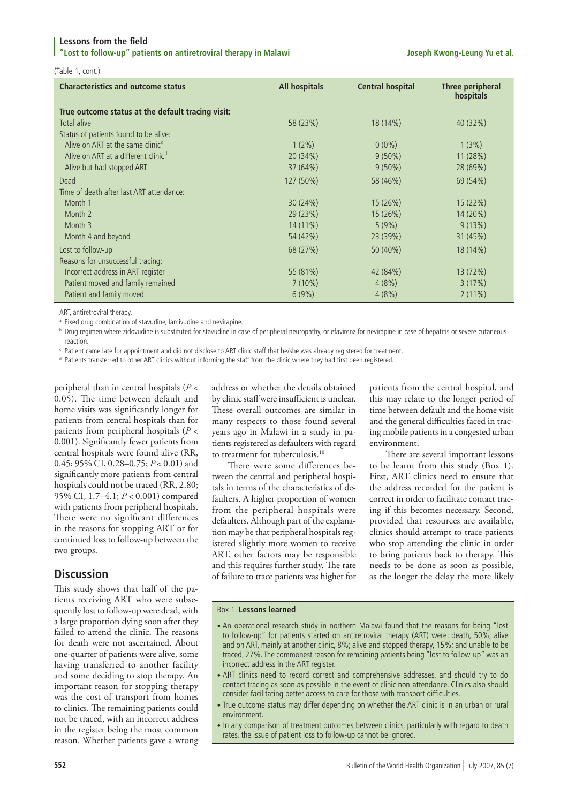#### **"Lost to follow-up" patients on antiretroviral therapy in Malawi Joseph Kwong-Leung Yu et al.**

| (Table 1, cont.)                                          |                      |                         |                               |
|-----------------------------------------------------------|----------------------|-------------------------|-------------------------------|
| <b>Characteristics and outcome status</b>                 | <b>All hospitals</b> | <b>Central hospital</b> | Three peripheral<br>hospitals |
| True outcome status at the default tracing visit:         |                      |                         |                               |
| Total alive                                               | 58 (23%)             | 18 (14%)                | 40 (32%)                      |
| Status of patients found to be alive:                     |                      |                         |                               |
| Alive on ART at the same clinic <sup><math>c</math></sup> | $1(2\%)$             | $0(0\%)$                | $1(3\%)$                      |
| Alive on ART at a different clinic <sup>d</sup>           | 20(34%)              | $9(50\%)$               | 11(28%)                       |
| Alive but had stopped ART                                 | 37(64%)              | $9(50\%)$               | 28 (69%)                      |
| Dead                                                      | 127 (50%)            | 58 (46%)                | 69 (54%)                      |
| Time of death after last ART attendance:                  |                      |                         |                               |
| Month 1                                                   | 30(24%)              | 15 (26%)                | 15 (22%)                      |
| Month 2                                                   | 29(23%)              | 15(26%)                 | 14 (20%)                      |
| Month 3                                                   | $14(11\%)$           | 5(9%)                   | 9(13%)                        |
| Month 4 and beyond                                        | 54 (42%)             | 23 (39%)                | 31 (45%)                      |
| Lost to follow-up                                         | 68 (27%)             | 50 (40%)                | $18(14\%)$                    |
| Reasons for unsuccessful tracing:                         |                      |                         |                               |
| Incorrect address in ART register                         | 55 (81%)             | 42 (84%)                | 13 (72%)                      |
| Patient moved and family remained                         | $7(10\%)$            | 4(8%)                   | 3(17%)                        |
| Patient and family moved                                  | 6(9%)                | 4(8%)                   | $2(11\%)$                     |

ART, antiretroviral therapy.

<sup>a</sup> Fixed drug combination of stavudine, lamivudine and nevirapine.

**b** Drug regimen where zidovudine is substituted for stavudine in case of peripheral neuropathy, or efavirenz for nevirapine in case of hepatitis or severe cutaneous reaction.

<sup>c</sup> Patient came late for appointment and did not disclose to ART clinic staff that he/she was already registered for treatment.

<sup>d</sup> Patients transferred to other ART clinics without informing the staff from the clinic where they had first been registered.

peripheral than in central hospitals (*P* < 0.05). The time between default and home visits was significantly longer for patients from central hospitals than for patients from peripheral hospitals (*P* < 0.001). Significantly fewer patients from central hospitals were found alive (RR, 0.45; 95% CI, 0.28–0.75; *P* < 0.01) and significantly more patients from central hospitals could not be traced (RR, 2.80; 95% CI, 1.7–4.1; *P* < 0.001) compared with patients from peripheral hospitals. There were no significant differences in the reasons for stopping ART or for continued loss to follow-up between the two groups.

## **Discussion**

This study shows that half of the patients receiving ART who were subsequently lost to follow-up were dead, with a large proportion dying soon after they failed to attend the clinic. The reasons for death were not ascertained. About one-quarter of patients were alive, some having transferred to another facility and some deciding to stop therapy. An important reason for stopping therapy was the cost of transport from homes to clinics. The remaining patients could not be traced, with an incorrect address in the register being the most common reason. Whether patients gave a wrong

address or whether the details obtained by clinic staff were insufficient is unclear. These overall outcomes are similar in many respects to those found several years ago in Malawi in a study in patients registered as defaulters with regard to treatment for tuberculosis.<sup>10</sup>

There were some differences between the central and peripheral hospitals in terms of the characteristics of defaulters. A higher proportion of women from the peripheral hospitals were defaulters. Although part of the explanation may be that peripheral hospitals registered slightly more women to receive ART, other factors may be responsible and this requires further study. The rate of failure to trace patients was higher for

patients from the central hospital, and this may relate to the longer period of time between default and the home visit and the general difficulties faced in tracing mobile patients in a congested urban environment.

There are several important lessons to be learnt from this study (Box 1). First, ART clinics need to ensure that the address recorded for the patient is correct in order to facilitate contact tracing if this becomes necessary. Second, provided that resources are available, clinics should attempt to trace patients who stop attending the clinic in order to bring patients back to therapy. This needs to be done as soon as possible, as the longer the delay the more likely

#### Box 1. **Lessons learned**

- An operational research study in northern Malawi found that the reasons for being "lost to follow-up" for patients started on antiretroviral therapy (ART) were: death, 50%; alive and on ART, mainly at another clinic, 8%; alive and stopped therapy, 15%; and unable to be traced, 27%. The commonest reason for remaining patients being "lost to follow-up" was an incorrect address in the ART register.
- ART clinics need to record correct and comprehensive addresses, and should try to do contact tracing as soon as possible in the event of clinic non-attendance. Clinics also should consider facilitating better access to care for those with transport difficulties.
- True outcome status may differ depending on whether the ART clinic is in an urban or rural environment.
- In any comparison of treatment outcomes between clinics, particularly with regard to death rates, the issue of patient loss to follow-up cannot be ignored.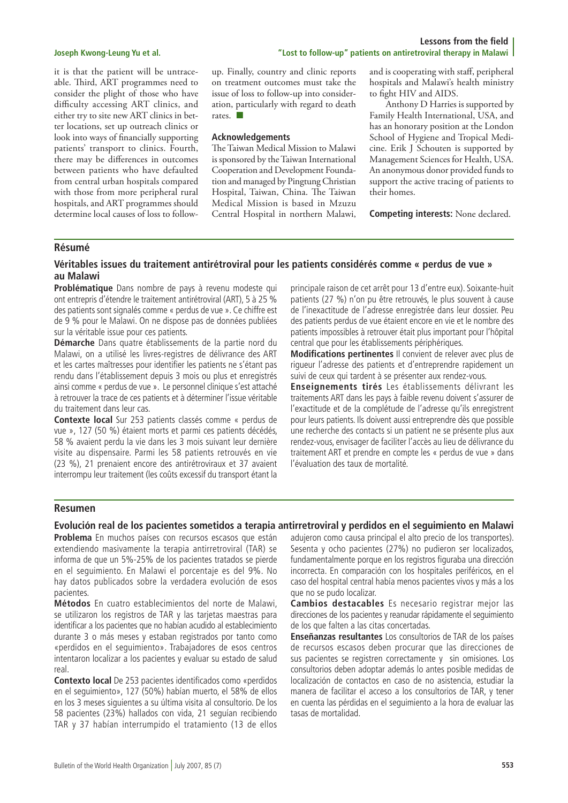it is that the patient will be untraceable. Third, ART programmes need to consider the plight of those who have difficulty accessing ART clinics, and either try to site new ART clinics in better locations, set up outreach clinics or look into ways of financially supporting patients' transport to clinics. Fourth, there may be differences in outcomes between patients who have defaulted from central urban hospitals compared with those from more peripheral rural hospitals, and ART programmes should determine local causes of loss to followup. Finally, country and clinic reports on treatment outcomes must take the issue of loss to follow-up into consideration, particularly with regard to death rates.  $\blacksquare$ 

#### **Acknowledgements**

The Taiwan Medical Mission to Malawi is sponsored by the Taiwan International Cooperation and Development Foundation and managed by Pingtung Christian Hospital, Taiwan, China. The Taiwan Medical Mission is based in Mzuzu Central Hospital in northern Malawi,

and is cooperating with staff, peripheral hospitals and Malawi's health ministry to fight HIV and AIDS.

Anthony D Harries is supported by Family Health International, USA, and has an honorary position at the London School of Hygiene and Tropical Medicine. Erik J Schouten is supported by Management Sciences for Health, USA. An anonymous donor provided funds to support the active tracing of patients to their homes.

**Competing interests:** None declared.

#### **Résumé**

### **Véritables issues du traitement antirétroviral pour les patients considérés comme « perdus de vue » au Malawi**

**Problématique** Dans nombre de pays à revenu modeste qui ont entrepris d'étendre le traitement antirétroviral (ART), 5 à 25 % des patients sont signalés comme « perdus de vue ». Ce chiffre est de 9 % pour le Malawi. On ne dispose pas de données publiées sur la véritable issue pour ces patients.

**Démarche** Dans quatre établissements de la partie nord du Malawi, on a utilisé les livres-registres de délivrance des ART et les cartes maîtresses pour identifier les patients ne s'étant pas rendu dans l'établissement depuis 3 mois ou plus et enregistrés ainsi comme « perdus de vue ». Le personnel clinique s'est attaché à retrouver la trace de ces patients et à déterminer l'issue véritable du traitement dans leur cas.

**Contexte local** Sur 253 patients classés comme « perdus de vue », 127 (50 %) étaient morts et parmi ces patients décédés, 58 % avaient perdu la vie dans les 3 mois suivant leur dernière visite au dispensaire. Parmi les 58 patients retrouvés en vie (23 %), 21 prenaient encore des antirétroviraux et 37 avaient interrompu leur traitement (les coûts excessif du transport étant la

principale raison de cet arrêt pour 13 d'entre eux). Soixante-huit patients (27 %) n'on pu être retrouvés, le plus souvent à cause de l'inexactitude de l'adresse enregistrée dans leur dossier. Peu des patients perdus de vue étaient encore en vie et le nombre des patients impossibles à retrouver était plus important pour l'hôpital central que pour les établissements périphériques.

**Modifications pertinentes** Il convient de relever avec plus de rigueur l'adresse des patients et d'entreprendre rapidement un suivi de ceux qui tardent à se présenter aux rendez-vous.

**Enseignements tirés** Les établissements délivrant les traitements ART dans les pays à faible revenu doivent s'assurer de l'exactitude et de la complétude de l'adresse qu'ils enregistrent pour leurs patients. Ils doivent aussi entreprendre dès que possible une recherche des contacts si un patient ne se présente plus aux rendez-vous, envisager de faciliter l'accès au lieu de délivrance du traitement ART et prendre en compte les « perdus de vue » dans l'évaluation des taux de mortalité.

#### **Resumen**

**Evolución real de los pacientes sometidos a terapia antirretroviral y perdidos en el seguimiento en Malawi**

**Problema** En muchos países con recursos escasos que están extendiendo masivamente la terapia antirretroviral (TAR) se informa de que un 5%-25% de los pacientes tratados se pierde en el seguimiento. En Malawi el porcentaje es del 9%. No hay datos publicados sobre la verdadera evolución de esos pacientes.

**Métodos** En cuatro establecimientos del norte de Malawi, se utilizaron los registros de TAR y las tarjetas maestras para identificar a los pacientes que no habían acudido al establecimiento durante 3 o más meses y estaban registrados por tanto como «perdidos en el seguimiento». Trabajadores de esos centros intentaron localizar a los pacientes y evaluar su estado de salud real.

**Contexto local** De 253 pacientes identificados como «perdidos en el seguimiento», 127 (50%) habían muerto, el 58% de ellos en los 3 meses siguientes a su última visita al consultorio. De los 58 pacientes (23%) hallados con vida, 21 seguían recibiendo TAR y 37 habían interrumpido el tratamiento (13 de ellos

adujeron como causa principal el alto precio de los transportes). Sesenta y ocho pacientes (27%) no pudieron ser localizados, fundamentalmente porque en los registros figuraba una dirección incorrecta. En comparación con los hospitales periféricos, en el caso del hospital central había menos pacientes vivos y más a los que no se pudo localizar.

**Cambios destacables** Es necesario registrar mejor las direcciones de los pacientes y reanudar rápidamente el seguimiento de los que falten a las citas concertadas.

**Enseñanzas resultantes** Los consultorios de TAR de los países de recursos escasos deben procurar que las direcciones de sus pacientes se registren correctamente y sin omisiones. Los consultorios deben adoptar además lo antes posible medidas de localización de contactos en caso de no asistencia, estudiar la manera de facilitar el acceso a los consultorios de TAR, y tener en cuenta las pérdidas en el seguimiento a la hora de evaluar las tasas de mortalidad.